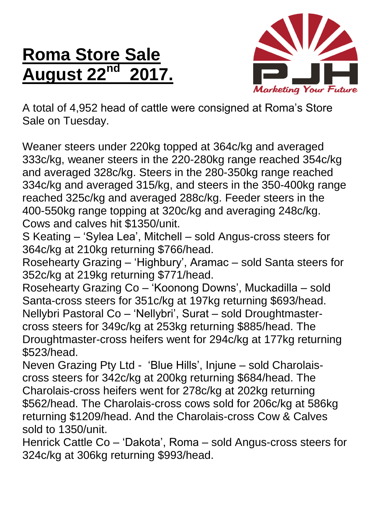## **Roma Store Sale August 22nd 2017.**



A total of 4,952 head of cattle were consigned at Roma's Store Sale on Tuesday.

Weaner steers under 220kg topped at 364c/kg and averaged 333c/kg, weaner steers in the 220-280kg range reached 354c/kg and averaged 328c/kg. Steers in the 280-350kg range reached 334c/kg and averaged 315/kg, and steers in the 350-400kg range reached 325c/kg and averaged 288c/kg. Feeder steers in the 400-550kg range topping at 320c/kg and averaging 248c/kg. Cows and calves hit \$1350/unit.

S Keating – 'Sylea Lea', Mitchell – sold Angus-cross steers for 364c/kg at 210kg returning \$766/head.

Rosehearty Grazing – 'Highbury', Aramac – sold Santa steers for 352c/kg at 219kg returning \$771/head.

Rosehearty Grazing Co – 'Koonong Downs', Muckadilla – sold Santa-cross steers for 351c/kg at 197kg returning \$693/head. Nellybri Pastoral Co – 'Nellybri', Surat – sold Droughtmastercross steers for 349c/kg at 253kg returning \$885/head. The Droughtmaster-cross heifers went for 294c/kg at 177kg returning \$523/head.

Neven Grazing Pty Ltd - 'Blue Hills', Injune – sold Charolaiscross steers for 342c/kg at 200kg returning \$684/head. The Charolais-cross heifers went for 278c/kg at 202kg returning \$562/head. The Charolais-cross cows sold for 206c/kg at 586kg returning \$1209/head. And the Charolais-cross Cow & Calves sold to 1350/unit.

Henrick Cattle Co – 'Dakota', Roma – sold Angus-cross steers for 324c/kg at 306kg returning \$993/head.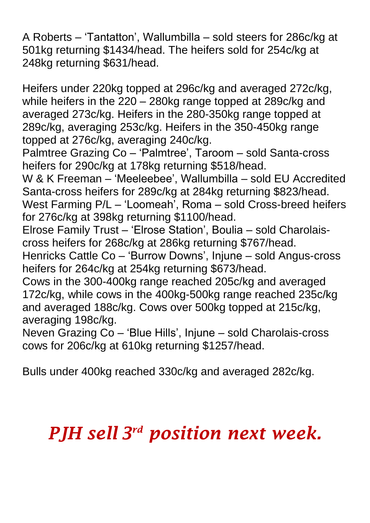A Roberts – 'Tantatton', Wallumbilla – sold steers for 286c/kg at 501kg returning \$1434/head. The heifers sold for 254c/kg at 248kg returning \$631/head.

Heifers under 220kg topped at 296c/kg and averaged 272c/kg, while heifers in the 220 – 280kg range topped at 289c/kg and averaged 273c/kg. Heifers in the 280-350kg range topped at 289c/kg, averaging 253c/kg. Heifers in the 350-450kg range topped at 276c/kg, averaging 240c/kg.

Palmtree Grazing Co – 'Palmtree', Taroom – sold Santa-cross heifers for 290c/kg at 178kg returning \$518/head.

W & K Freeman – 'Meeleebee', Wallumbilla – sold EU Accredited Santa-cross heifers for 289c/kg at 284kg returning \$823/head. West Farming P/L – 'Loomeah', Roma – sold Cross-breed heifers for 276c/kg at 398kg returning \$1100/head.

Elrose Family Trust – 'Elrose Station', Boulia – sold Charolaiscross heifers for 268c/kg at 286kg returning \$767/head.

Henricks Cattle Co – 'Burrow Downs', Injune – sold Angus-cross heifers for 264c/kg at 254kg returning \$673/head.

Cows in the 300-400kg range reached 205c/kg and averaged 172c/kg, while cows in the 400kg-500kg range reached 235c/kg and averaged 188c/kg. Cows over 500kg topped at 215c/kg, averaging 198c/kg.

Neven Grazing Co – 'Blue Hills', Injune – sold Charolais-cross cows for 206c/kg at 610kg returning \$1257/head.

Bulls under 400kg reached 330c/kg and averaged 282c/kg.

## *PJH sell 3 rd position next week.*